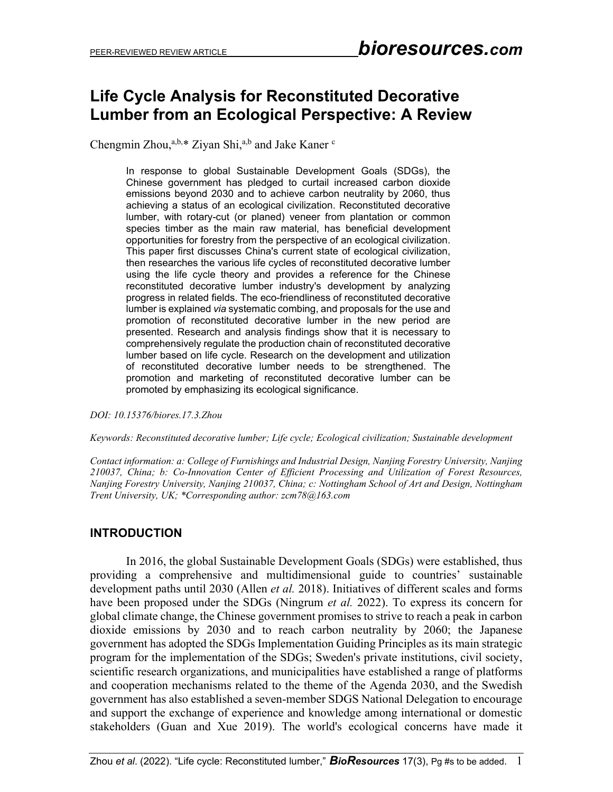# **Life Cycle Analysis for Reconstituted Decorative Lumber from an Ecological Perspective: A Review**

Chengmin Zhou,<sup>a,b,\*</sup> Ziyan Shi,<sup>a,b</sup> and Jake Kaner c

In response to global Sustainable Development Goals (SDGs), the Chinese government has pledged to curtail increased carbon dioxide emissions beyond 2030 and to achieve carbon neutrality by 2060, thus achieving a status of an ecological civilization. Reconstituted decorative lumber, with rotary-cut (or planed) veneer from plantation or common species timber as the main raw material, has beneficial development opportunities for forestry from the perspective of an ecological civilization. This paper first discusses China's current state of ecological civilization, then researches the various life cycles of reconstituted decorative lumber using the life cycle theory and provides a reference for the Chinese reconstituted decorative lumber industry's development by analyzing progress in related fields. The eco-friendliness of reconstituted decorative lumber is explained *via* systematic combing, and proposals for the use and promotion of reconstituted decorative lumber in the new period are presented. Research and analysis findings show that it is necessary to comprehensively regulate the production chain of reconstituted decorative lumber based on life cycle. Research on the development and utilization of reconstituted decorative lumber needs to be strengthened. The promotion and marketing of reconstituted decorative lumber can be promoted by emphasizing its ecological significance.

*DOI: 10.15376/biores.17.3.Zhou*

*Keywords: Reconstituted decorative lumber; Life cycle; Ecological civilization; Sustainable development*

*Contact information: a: College of Furnishings and Industrial Design, Nanjing Forestry University, Nanjing 210037, China; b: Co-Innovation Center of Efficient Processing and Utilization of Forest Resources, Nanjing Forestry University, Nanjing 210037, China; c: Nottingham School of Art and Design, Nottingham Trent University, UK; \*Corresponding author: zcm78@163.com*

## **INTRODUCTION**

In 2016, the global Sustainable Development Goals (SDGs) were established, thus providing a comprehensive and multidimensional guide to countries' sustainable development paths until 2030 (Allen *et al.* 2018). Initiatives of different scales and forms have been proposed under the SDGs (Ningrum *et al.* 2022). To express its concern for global climate change, the Chinese government promises to strive to reach a peak in carbon dioxide emissions by 2030 and to reach carbon neutrality by 2060; the Japanese government has adopted the SDGs Implementation Guiding Principles as its main strategic program for the implementation of the SDGs; Sweden's private institutions, civil society, scientific research organizations, and municipalities have established a range of platforms and cooperation mechanisms related to the theme of the Agenda 2030, and the Swedish government has also established a seven-member SDGS National Delegation to encourage and support the exchange of experience and knowledge among international or domestic stakeholders (Guan and Xue 2019). The world's ecological concerns have made it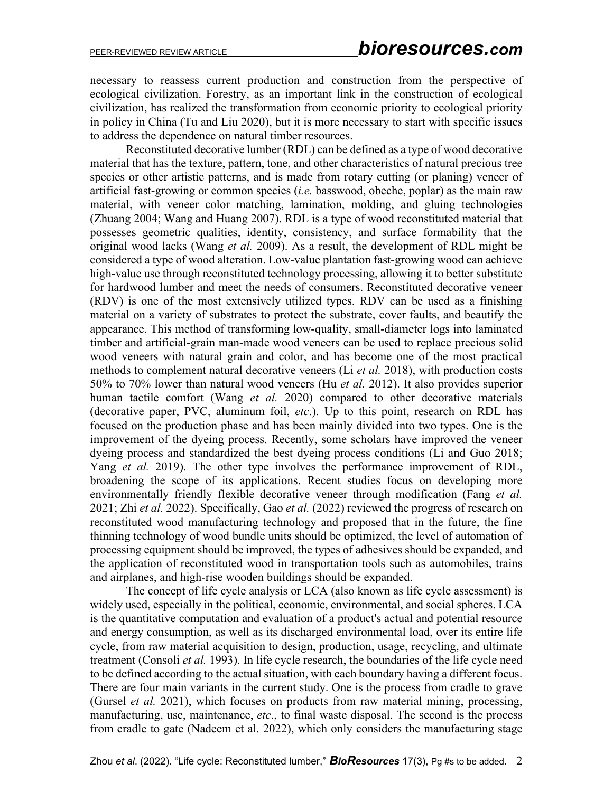necessary to reassess current production and construction from the perspective of ecological civilization. Forestry, as an important link in the construction of ecological civilization, has realized the transformation from economic priority to ecological priority in policy in China (Tu and Liu 2020), but it is more necessary to start with specific issues to address the dependence on natural timber resources.

Reconstituted decorative lumber (RDL) can be defined as a type of wood decorative material that has the texture, pattern, tone, and other characteristics of natural precious tree species or other artistic patterns, and is made from rotary cutting (or planing) veneer of artificial fast-growing or common species (*i.e.* basswood, obeche, poplar) as the main raw material, with veneer color matching, lamination, molding, and gluing technologies (Zhuang 2004; Wang and Huang 2007). RDL is a type of wood reconstituted material that possesses geometric qualities, identity, consistency, and surface formability that the original wood lacks (Wang *et al.* 2009). As a result, the development of RDL might be considered a type of wood alteration. Low-value plantation fast-growing wood can achieve high-value use through reconstituted technology processing, allowing it to better substitute for hardwood lumber and meet the needs of consumers. Reconstituted decorative veneer (RDV) is one of the most extensively utilized types. RDV can be used as a finishing material on a variety of substrates to protect the substrate, cover faults, and beautify the appearance. This method of transforming low-quality, small-diameter logs into laminated timber and artificial-grain man-made wood veneers can be used to replace precious solid wood veneers with natural grain and color, and has become one of the most practical methods to complement natural decorative veneers (Li *et al.* 2018), with production costs 50% to 70% lower than natural wood veneers (Hu *et al.* 2012). It also provides superior human tactile comfort (Wang *et al.* 2020) compared to other decorative materials (decorative paper, PVC, aluminum foil, *etc*.). Up to this point, research on RDL has focused on the production phase and has been mainly divided into two types. One is the improvement of the dyeing process. Recently, some scholars have improved the veneer dyeing process and standardized the best dyeing process conditions (Li and Guo 2018; Yang *et al.* 2019). The other type involves the performance improvement of RDL, broadening the scope of its applications. Recent studies focus on developing more environmentally friendly flexible decorative veneer through modification (Fang *et al.* 2021; Zhi *et al.* 2022). Specifically, Gao *et al.* (2022) reviewed the progress of research on reconstituted wood manufacturing technology and proposed that in the future, the fine thinning technology of wood bundle units should be optimized, the level of automation of processing equipment should be improved, the types of adhesives should be expanded, and the application of reconstituted wood in transportation tools such as automobiles, trains and airplanes, and high-rise wooden buildings should be expanded.

The concept of life cycle analysis or LCA (also known as life cycle assessment) is widely used, especially in the political, economic, environmental, and social spheres. LCA is the quantitative computation and evaluation of a product's actual and potential resource and energy consumption, as well as its discharged environmental load, over its entire life cycle, from raw material acquisition to design, production, usage, recycling, and ultimate treatment (Consoli *et al.* 1993). In life cycle research, the boundaries of the life cycle need to be defined according to the actual situation, with each boundary having a different focus. There are four main variants in the current study. One is the process from cradle to grave (Gursel *et al.* 2021), which focuses on products from raw material mining, processing, manufacturing, use, maintenance, *etc*., to final waste disposal. The second is the process from cradle to gate (Nadeem et al. 2022), which only considers the manufacturing stage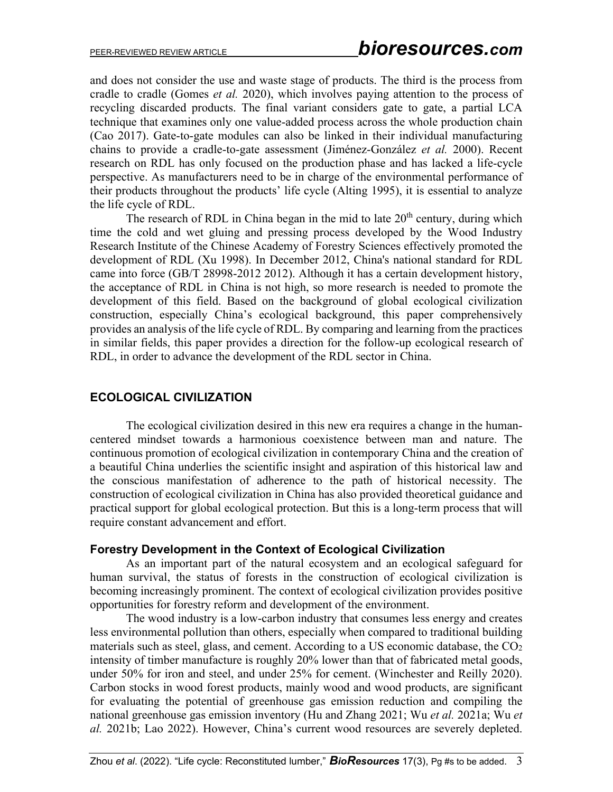and does not consider the use and waste stage of products. The third is the process from cradle to cradle (Gomes *et al.* 2020), which involves paying attention to the process of recycling discarded products. The final variant considers gate to gate, a partial LCA technique that examines only one value-added process across the whole production chain (Cao 2017). Gate-to-gate modules can also be linked in their individual manufacturing chains to provide a cradle-to-gate assessment (Jiménez-González *et al.* 2000). Recent research on RDL has only focused on the production phase and has lacked a life-cycle perspective. As manufacturers need to be in charge of the environmental performance of their products throughout the products' life cycle (Alting 1995), it is essential to analyze the life cycle of RDL.

The research of RDL in China began in the mid to late  $20<sup>th</sup>$  century, during which time the cold and wet gluing and pressing process developed by the Wood Industry Research Institute of the Chinese Academy of Forestry Sciences effectively promoted the development of RDL (Xu 1998). In December 2012, China's national standard for RDL came into force (GB/T 28998-2012 2012). Although it has a certain development history, the acceptance of RDL in China is not high, so more research is needed to promote the development of this field. Based on the background of global ecological civilization construction, especially China's ecological background, this paper comprehensively provides an analysis of the life cycle of RDL. By comparing and learning from the practices in similar fields, this paper provides a direction for the follow-up ecological research of RDL, in order to advance the development of the RDL sector in China.

# **ECOLOGICAL CIVILIZATION**

The ecological civilization desired in this new era requires a change in the humancentered mindset towards a harmonious coexistence between man and nature. The continuous promotion of ecological civilization in contemporary China and the creation of a beautiful China underlies the scientific insight and aspiration of this historical law and the conscious manifestation of adherence to the path of historical necessity. The construction of ecological civilization in China has also provided theoretical guidance and practical support for global ecological protection. But this is a long-term process that will require constant advancement and effort.

## **Forestry Development in the Context of Ecological Civilization**

As an important part of the natural ecosystem and an ecological safeguard for human survival, the status of forests in the construction of ecological civilization is becoming increasingly prominent. The context of ecological civilization provides positive opportunities for forestry reform and development of the environment.

The wood industry is a low-carbon industry that consumes less energy and creates less environmental pollution than others, especially when compared to traditional building materials such as steel, glass, and cement. According to a US economic database, the  $CO<sub>2</sub>$ intensity of timber manufacture is roughly 20% lower than that of fabricated metal goods, under 50% for iron and steel, and under 25% for cement. (Winchester and Reilly 2020). Carbon stocks in wood forest products, mainly wood and wood products, are significant for evaluating the potential of greenhouse gas emission reduction and compiling the national greenhouse gas emission inventory (Hu and Zhang 2021; Wu *et al.* 2021a; Wu *et al.* 2021b; Lao 2022). However, China's current wood resources are severely depleted.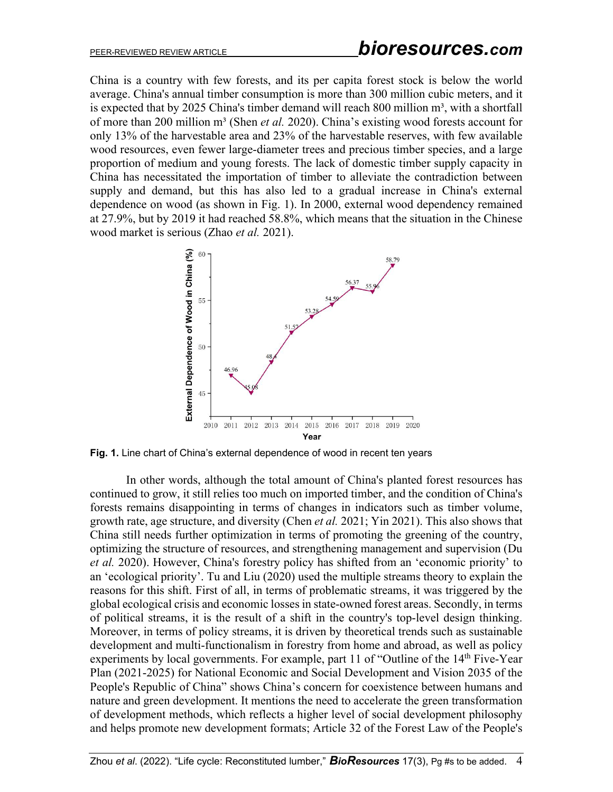China is a country with few forests, and its per capita forest stock is below the world average. China's annual timber consumption is more than 300 million cubic meters, and it is expected that by 2025 China's timber demand will reach 800 million  $m^3$ , with a shortfall of more than 200 million m<sup>3</sup> (Shen *et al.* 2020). China's existing wood forests account for only 13% of the harvestable area and 23% of the harvestable reserves, with few available wood resources, even fewer large-diameter trees and precious timber species, and a large proportion of medium and young forests. The lack of domestic timber supply capacity in China has necessitated the importation of timber to alleviate the contradiction between supply and demand, but this has also led to a gradual increase in China's external dependence on wood (as shown in Fig. 1). In 2000, external wood dependency remained at 27.9%, but by 2019 it had reached 58.8%, which means that the situation in the Chinese wood market is serious (Zhao *et al.* 2021).



**Fig. 1.** Line chart of China's external dependence of wood in recent ten years

In other words, although the total amount of China's planted forest resources has continued to grow, it still relies too much on imported timber, and the condition of China's forests remains disappointing in terms of changes in indicators such as timber volume, growth rate, age structure, and diversity (Chen *et al.* 2021; Yin 2021). This also shows that China still needs further optimization in terms of promoting the greening of the country, optimizing the structure of resources, and strengthening management and supervision (Du *et al.* 2020). However, China's forestry policy has shifted from an 'economic priority' to an 'ecological priority'. Tu and Liu (2020) used the multiple streams theory to explain the reasons for this shift. First of all, in terms of problematic streams, it was triggered by the global ecological crisis and economic losses in state-owned forest areas. Secondly, in terms of political streams, it is the result of a shift in the country's top-level design thinking. Moreover, in terms of policy streams, it is driven by theoretical trends such as sustainable development and multi-functionalism in forestry from home and abroad, as well as policy experiments by local governments. For example, part 11 of "Outline of the  $14<sup>th</sup>$  Five-Year Plan (2021-2025) for National Economic and Social Development and Vision 2035 of the People's Republic of China" shows China's concern for coexistence between humans and nature and green development. It mentions the need to accelerate the green transformation of development methods, which reflects a higher level of social development philosophy and helps promote new development formats; Article 32 of the Forest Law of the People's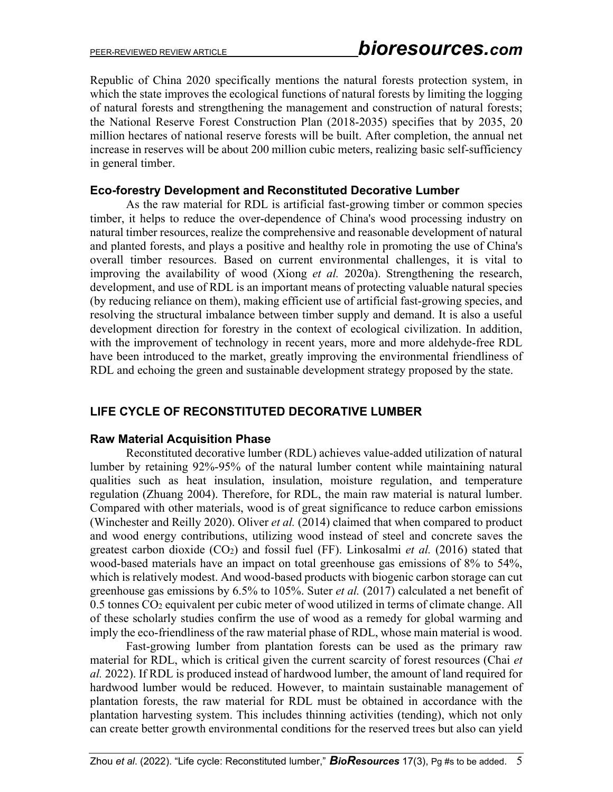Republic of China 2020 specifically mentions the natural forests protection system, in which the state improves the ecological functions of natural forests by limiting the logging of natural forests and strengthening the management and construction of natural forests; the National Reserve Forest Construction Plan (2018-2035) specifies that by 2035, 20 million hectares of national reserve forests will be built. After completion, the annual net increase in reserves will be about 200 million cubic meters, realizing basic self-sufficiency in general timber.

## **Eco-forestry Development and Reconstituted Decorative Lumber**

As the raw material for RDL is artificial fast-growing timber or common species timber, it helps to reduce the over-dependence of China's wood processing industry on natural timber resources, realize the comprehensive and reasonable development of natural and planted forests, and plays a positive and healthy role in promoting the use of China's overall timber resources. Based on current environmental challenges, it is vital to improving the availability of wood (Xiong *et al.* 2020a). Strengthening the research, development, and use of RDL is an important means of protecting valuable natural species (by reducing reliance on them), making efficient use of artificial fast-growing species, and resolving the structural imbalance between timber supply and demand. It is also a useful development direction for forestry in the context of ecological civilization. In addition, with the improvement of technology in recent years, more and more aldehyde-free RDL have been introduced to the market, greatly improving the environmental friendliness of RDL and echoing the green and sustainable development strategy proposed by the state.

## **LIFE CYCLE OF RECONSTITUTED DECORATIVE LUMBER**

## **Raw Material Acquisition Phase**

Reconstituted decorative lumber (RDL) achieves value-added utilization of natural lumber by retaining 92%-95% of the natural lumber content while maintaining natural qualities such as heat insulation, insulation, moisture regulation, and temperature regulation (Zhuang 2004). Therefore, for RDL, the main raw material is natural lumber. Compared with other materials, wood is of great significance to reduce carbon emissions (Winchester and Reilly 2020). Oliver *et al.* (2014) claimed that when compared to product and wood energy contributions, utilizing wood instead of steel and concrete saves the greatest carbon dioxide (CO2) and fossil fuel (FF). Linkosalmi *et al.* (2016) stated that wood-based materials have an impact on total greenhouse gas emissions of 8% to 54%, which is relatively modest. And wood-based products with biogenic carbon storage can cut greenhouse gas emissions by 6.5% to 105%. Suter *et al.* (2017) calculated a net benefit of 0.5 tonnes CO2 equivalent per cubic meter of wood utilized in terms of climate change. All of these scholarly studies confirm the use of wood as a remedy for global warming and imply the eco-friendliness of the raw material phase of RDL, whose main material is wood.

Fast-growing lumber from plantation forests can be used as the primary raw material for RDL, which is critical given the current scarcity of forest resources (Chai *et al.* 2022). If RDL is produced instead of hardwood lumber, the amount of land required for hardwood lumber would be reduced. However, to maintain sustainable management of plantation forests, the raw material for RDL must be obtained in accordance with the plantation harvesting system. This includes thinning activities (tending), which not only can create better growth environmental conditions for the reserved trees but also can yield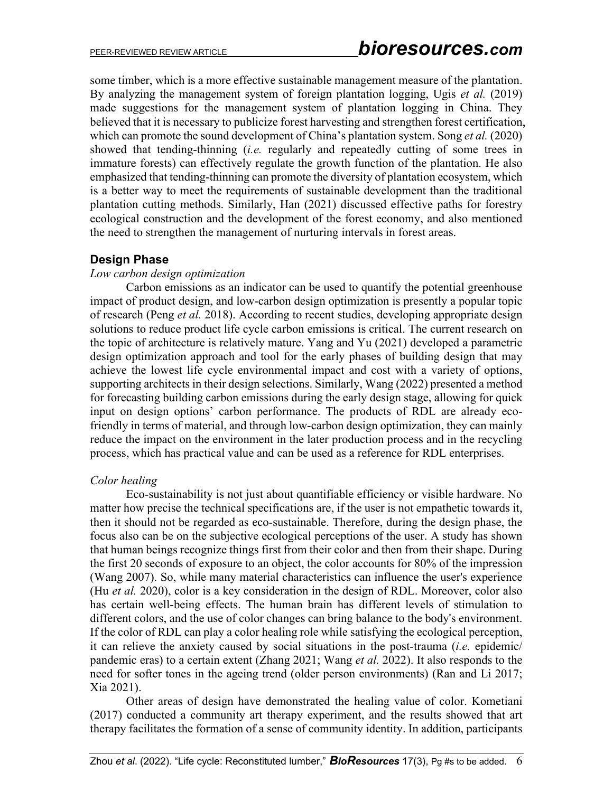some timber, which is a more effective sustainable management measure of the plantation. By analyzing the management system of foreign plantation logging, Ugis *et al.* (2019) made suggestions for the management system of plantation logging in China. They believed that it is necessary to publicize forest harvesting and strengthen forest certification, which can promote the sound development of China's plantation system. Song *et al.* (2020) showed that tending-thinning (*i.e.* regularly and repeatedly cutting of some trees in immature forests) can effectively regulate the growth function of the plantation. He also emphasized that tending-thinning can promote the diversity of plantation ecosystem, which is a better way to meet the requirements of sustainable development than the traditional plantation cutting methods. Similarly, Han (2021) discussed effective paths for forestry ecological construction and the development of the forest economy, and also mentioned the need to strengthen the management of nurturing intervals in forest areas.

## **Design Phase**

## *Low carbon design optimization*

Carbon emissions as an indicator can be used to quantify the potential greenhouse impact of product design, and low-carbon design optimization is presently a popular topic of research (Peng *et al.* 2018). According to recent studies, developing appropriate design solutions to reduce product life cycle carbon emissions is critical. The current research on the topic of architecture is relatively mature. Yang and Yu (2021) developed a parametric design optimization approach and tool for the early phases of building design that may achieve the lowest life cycle environmental impact and cost with a variety of options, supporting architects in their design selections. Similarly, Wang (2022) presented a method for forecasting building carbon emissions during the early design stage, allowing for quick input on design options' carbon performance. The products of RDL are already ecofriendly in terms of material, and through low-carbon design optimization, they can mainly reduce the impact on the environment in the later production process and in the recycling process, which has practical value and can be used as a reference for RDL enterprises.

## *Color healing*

Eco-sustainability is not just about quantifiable efficiency or visible hardware. No matter how precise the technical specifications are, if the user is not empathetic towards it, then it should not be regarded as eco-sustainable. Therefore, during the design phase, the focus also can be on the subjective ecological perceptions of the user. A study has shown that human beings recognize things first from their color and then from their shape. During the first 20 seconds of exposure to an object, the color accounts for 80% of the impression (Wang 2007). So, while many material characteristics can influence the user's experience (Hu *et al.* 2020), color is a key consideration in the design of RDL. Moreover, color also has certain well-being effects. The human brain has different levels of stimulation to different colors, and the use of color changes can bring balance to the body's environment. If the color of RDL can play a color healing role while satisfying the ecological perception, it can relieve the anxiety caused by social situations in the post-trauma (*i.e.* epidemic/ pandemic eras) to a certain extent (Zhang 2021; Wang *et al.* 2022). It also responds to the need for softer tones in the ageing trend (older person environments) (Ran and Li 2017; Xia 2021).

Other areas of design have demonstrated the healing value of color. Kometiani (2017) conducted a community art therapy experiment, and the results showed that art therapy facilitates the formation of a sense of community identity. In addition, participants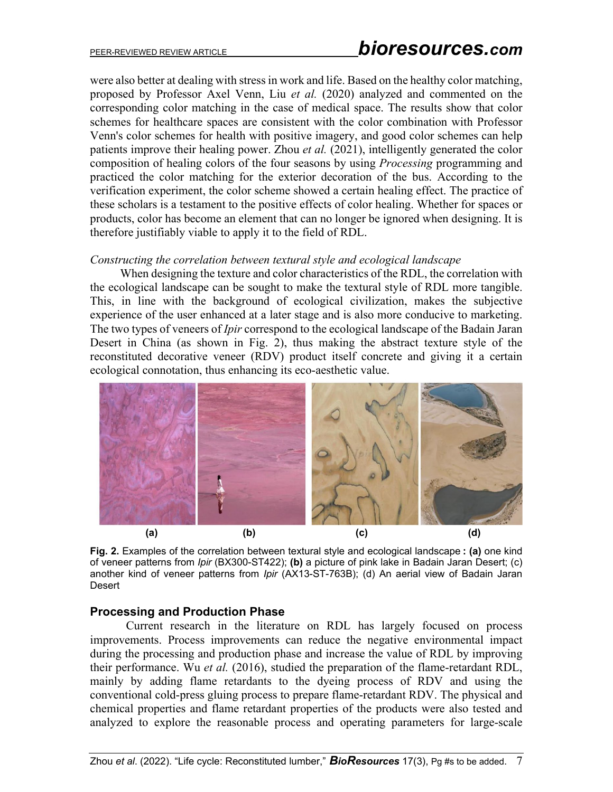were also better at dealing with stress in work and life. Based on the healthy color matching, proposed by Professor Axel Venn, Liu *et al.* (2020) analyzed and commented on the corresponding color matching in the case of medical space. The results show that color schemes for healthcare spaces are consistent with the color combination with Professor Venn's color schemes for health with positive imagery, and good color schemes can help patients improve their healing power. Zhou *et al.* (2021), intelligently generated the color composition of healing colors of the four seasons by using *Processing* programming and practiced the color matching for the exterior decoration of the bus. According to the verification experiment, the color scheme showed a certain healing effect. The practice of these scholars is a testament to the positive effects of color healing. Whether for spaces or products, color has become an element that can no longer be ignored when designing. It is therefore justifiably viable to apply it to the field of RDL.

#### *Constructing the correlation between textural style and ecological landscape*

When designing the texture and color characteristics of the RDL, the correlation with the ecological landscape can be sought to make the textural style of RDL more tangible. This, in line with the background of ecological civilization, makes the subjective experience of the user enhanced at a later stage and is also more conducive to marketing. The two types of veneers of *Ipir* correspond to the ecological landscape of the Badain Jaran Desert in China (as shown in Fig. 2), thus making the abstract texture style of the reconstituted decorative veneer (RDV) product itself concrete and giving it a certain ecological connotation, thus enhancing its eco-aesthetic value.



**Fig. 2.** Examples of the correlation between textural style and ecological landscape **: (a)** one kind of veneer patterns from *Ipir* (BX300-ST422); **(b)** a picture of pink lake in Badain Jaran Desert; (c) another kind of veneer patterns from *Ipir* (AX13-ST-763B); (d) An aerial view of Badain Jaran **Desert** 

## **Processing and Production Phase**

Current research in the literature on RDL has largely focused on process improvements. Process improvements can reduce the negative environmental impact during the processing and production phase and increase the value of RDL by improving their performance. Wu *et al.* (2016), studied the preparation of the flame-retardant RDL, mainly by adding flame retardants to the dyeing process of RDV and using the conventional cold-press gluing process to prepare flame-retardant RDV. The physical and chemical properties and flame retardant properties of the products were also tested and analyzed to explore the reasonable process and operating parameters for large-scale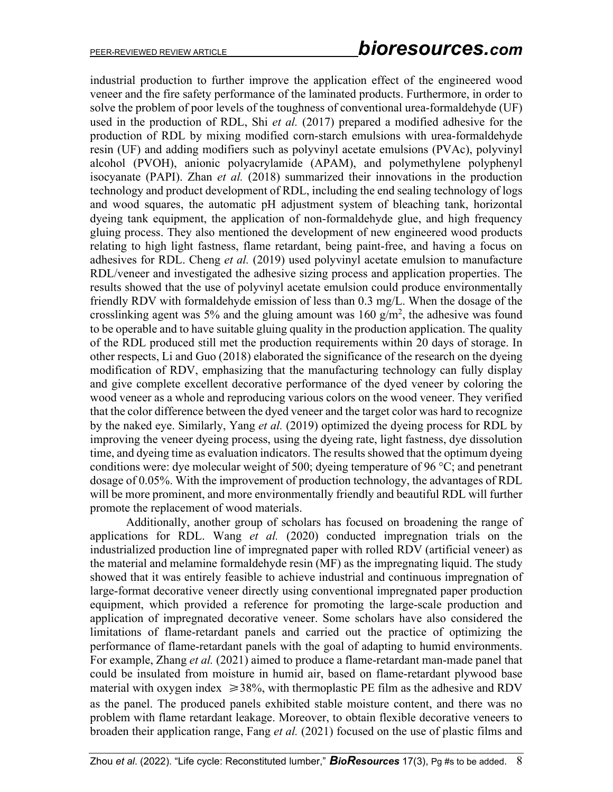industrial production to further improve the application effect of the engineered wood veneer and the fire safety performance of the laminated products. Furthermore, in order to solve the problem of poor levels of the toughness of conventional urea-formaldehyde (UF) used in the production of RDL, Shi *et al.* (2017) prepared a modified adhesive for the production of RDL by mixing modified corn-starch emulsions with urea-formaldehyde resin (UF) and adding modifiers such as polyvinyl acetate emulsions (PVAc), polyvinyl alcohol (PVOH), anionic polyacrylamide (APAM), and polymethylene polyphenyl isocyanate (PAPI). Zhan *et al.* (2018) summarized their innovations in the production technology and product development of RDL, including the end sealing technology of logs and wood squares, the automatic pH adjustment system of bleaching tank, horizontal dyeing tank equipment, the application of non-formaldehyde glue, and high frequency gluing process. They also mentioned the development of new engineered wood products relating to high light fastness, flame retardant, being paint-free, and having a focus on adhesives for RDL. Cheng *et al.* (2019) used polyvinyl acetate emulsion to manufacture RDL/veneer and investigated the adhesive sizing process and application properties. The results showed that the use of polyvinyl acetate emulsion could produce environmentally friendly RDV with formaldehyde emission of less than 0.3 mg/L. When the dosage of the crosslinking agent was 5% and the gluing amount was  $160 \text{ g/m}^2$ , the adhesive was found to be operable and to have suitable gluing quality in the production application. The quality of the RDL produced still met the production requirements within 20 days of storage. In other respects, Li and Guo (2018) elaborated the significance of the research on the dyeing modification of RDV, emphasizing that the manufacturing technology can fully display and give complete excellent decorative performance of the dyed veneer by coloring the wood veneer as a whole and reproducing various colors on the wood veneer. They verified that the color difference between the dyed veneer and the target color was hard to recognize by the naked eye. Similarly, Yang *et al.* (2019) optimized the dyeing process for RDL by improving the veneer dyeing process, using the dyeing rate, light fastness, dye dissolution time, and dyeing time as evaluation indicators. The results showed that the optimum dyeing conditions were: dye molecular weight of 500; dyeing temperature of 96 °C; and penetrant dosage of 0.05%. With the improvement of production technology, the advantages of RDL will be more prominent, and more environmentally friendly and beautiful RDL will further promote the replacement of wood materials.

Additionally, another group of scholars has focused on broadening the range of applications for RDL. Wang *et al.* (2020) conducted impregnation trials on the industrialized production line of impregnated paper with rolled RDV (artificial veneer) as the material and melamine formaldehyde resin (MF) as the impregnating liquid. The study showed that it was entirely feasible to achieve industrial and continuous impregnation of large-format decorative veneer directly using conventional impregnated paper production equipment, which provided a reference for promoting the large-scale production and application of impregnated decorative veneer. Some scholars have also considered the limitations of flame-retardant panels and carried out the practice of optimizing the performance of flame-retardant panels with the goal of adapting to humid environments. For example, Zhang *et al.* (2021) aimed to produce a flame-retardant man-made panel that could be insulated from moisture in humid air, based on flame-retardant plywood base material with oxygen index  $\geq 38\%$ , with thermoplastic PE film as the adhesive and RDV as the panel. The produced panels exhibited stable moisture content, and there was no problem with flame retardant leakage. Moreover, to obtain flexible decorative veneers to broaden their application range, Fang *et al.* (2021) focused on the use of plastic films and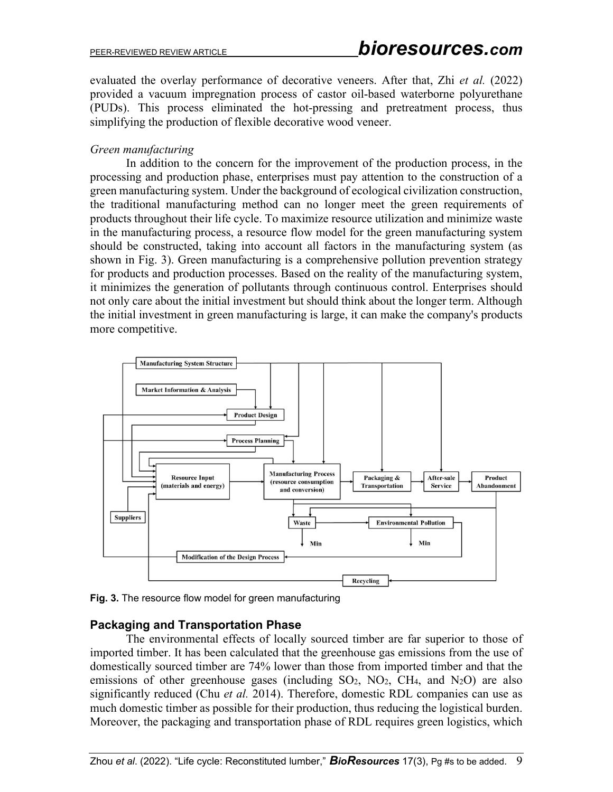evaluated the overlay performance of decorative veneers. After that, Zhi *et al.* (2022) provided a vacuum impregnation process of castor oil-based waterborne polyurethane (PUDs). This process eliminated the hot-pressing and pretreatment process, thus simplifying the production of flexible decorative wood veneer.

## *Green manufacturing*

In addition to the concern for the improvement of the production process, in the processing and production phase, enterprises must pay attention to the construction of a green manufacturing system. Under the background of ecological civilization construction, the traditional manufacturing method can no longer meet the green requirements of products throughout their life cycle. To maximize resource utilization and minimize waste in the manufacturing process, a resource flow model for the green manufacturing system should be constructed, taking into account all factors in the manufacturing system (as shown in Fig. 3). Green manufacturing is a comprehensive pollution prevention strategy for products and production processes. Based on the reality of the manufacturing system, it minimizes the generation of pollutants through continuous control. Enterprises should not only care about the initial investment but should think about the longer term. Although the initial investment in green manufacturing is large, it can make the company's products more competitive.



**Fig. 3.** The resource flow model for green manufacturing

## **Packaging and Transportation Phase**

The environmental effects of locally sourced timber are far superior to those of imported timber. It has been calculated that the greenhouse gas emissions from the use of domestically sourced timber are 74% lower than those from imported timber and that the emissions of other greenhouse gases (including  $SO_2$ ,  $NO_2$ ,  $CH_4$ , and  $N_2O$ ) are also significantly reduced (Chu *et al.* 2014). Therefore, domestic RDL companies can use as much domestic timber as possible for their production, thus reducing the logistical burden. Moreover, the packaging and transportation phase of RDL requires green logistics, which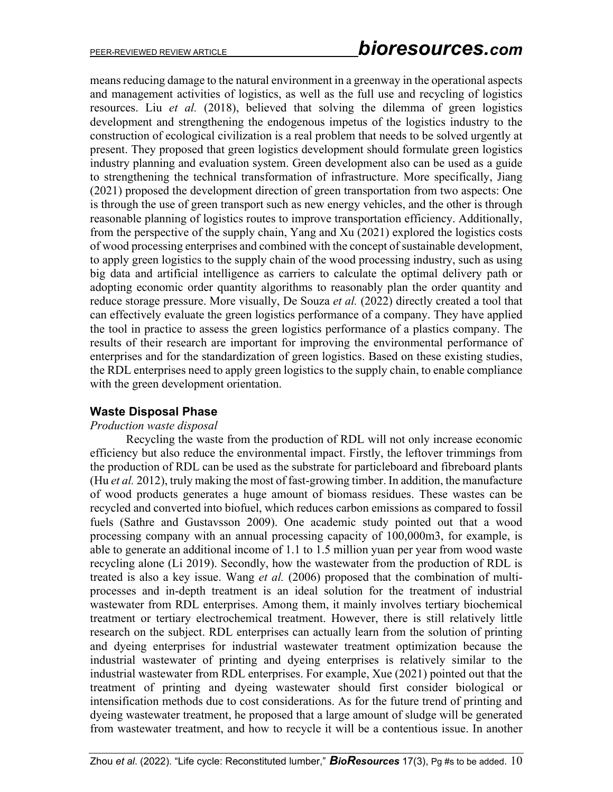means reducing damage to the natural environment in a greenway in the operational aspects and management activities of logistics, as well as the full use and recycling of logistics resources. Liu *et al.* (2018), believed that solving the dilemma of green logistics development and strengthening the endogenous impetus of the logistics industry to the construction of ecological civilization is a real problem that needs to be solved urgently at present. They proposed that green logistics development should formulate green logistics industry planning and evaluation system. Green development also can be used as a guide to strengthening the technical transformation of infrastructure. More specifically, Jiang (2021) proposed the development direction of green transportation from two aspects: One is through the use of green transport such as new energy vehicles, and the other is through reasonable planning of logistics routes to improve transportation efficiency. Additionally, from the perspective of the supply chain, Yang and Xu (2021) explored the logistics costs of wood processing enterprises and combined with the concept of sustainable development, to apply green logistics to the supply chain of the wood processing industry, such as using big data and artificial intelligence as carriers to calculate the optimal delivery path or adopting economic order quantity algorithms to reasonably plan the order quantity and reduce storage pressure. More visually, De Souza *et al.* (2022) directly created a tool that can effectively evaluate the green logistics performance of a company. They have applied the tool in practice to assess the green logistics performance of a plastics company. The results of their research are important for improving the environmental performance of enterprises and for the standardization of green logistics. Based on these existing studies, the RDL enterprises need to apply green logistics to the supply chain, to enable compliance with the green development orientation.

## **Waste Disposal Phase**

## *Production waste disposal*

Recycling the waste from the production of RDL will not only increase economic efficiency but also reduce the environmental impact. Firstly, the leftover trimmings from the production of RDL can be used as the substrate for particleboard and fibreboard plants (Hu *et al.* 2012), truly making the most of fast-growing timber. In addition, the manufacture of wood products generates a huge amount of biomass residues. These wastes can be recycled and converted into biofuel, which reduces carbon emissions as compared to fossil fuels (Sathre and Gustavsson 2009). One academic study pointed out that a wood processing company with an annual processing capacity of 100,000m3, for example, is able to generate an additional income of 1.1 to 1.5 million yuan per year from wood waste recycling alone (Li 2019). Secondly, how the wastewater from the production of RDL is treated is also a key issue. Wang *et al.* (2006) proposed that the combination of multiprocesses and in-depth treatment is an ideal solution for the treatment of industrial wastewater from RDL enterprises. Among them, it mainly involves tertiary biochemical treatment or tertiary electrochemical treatment. However, there is still relatively little research on the subject. RDL enterprises can actually learn from the solution of printing and dyeing enterprises for industrial wastewater treatment optimization because the industrial wastewater of printing and dyeing enterprises is relatively similar to the industrial wastewater from RDL enterprises. For example, Xue (2021) pointed out that the treatment of printing and dyeing wastewater should first consider biological or intensification methods due to cost considerations. As for the future trend of printing and dyeing wastewater treatment, he proposed that a large amount of sludge will be generated from wastewater treatment, and how to recycle it will be a contentious issue. In another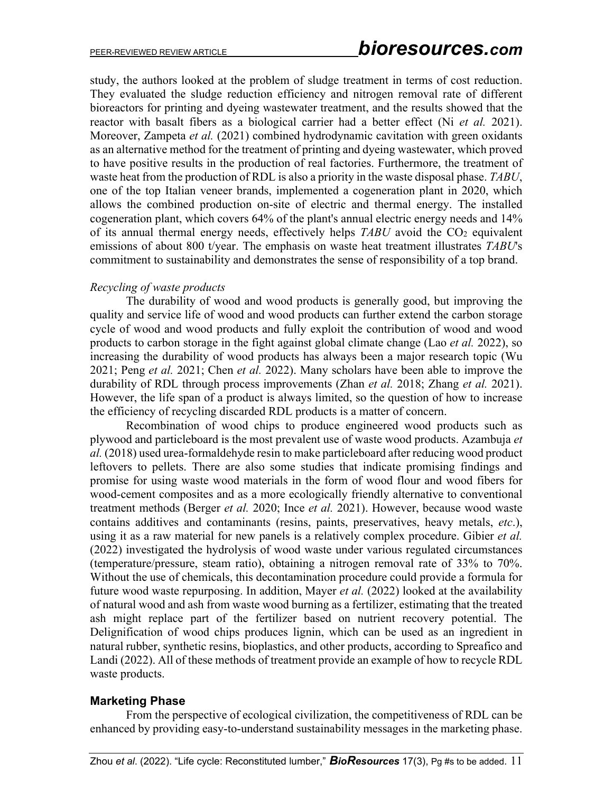study, the authors looked at the problem of sludge treatment in terms of cost reduction. They evaluated the sludge reduction efficiency and nitrogen removal rate of different bioreactors for printing and dyeing wastewater treatment, and the results showed that the reactor with basalt fibers as a biological carrier had a better effect (Ni *et al.* 2021). Moreover, Zampeta *et al.* (2021) combined hydrodynamic cavitation with green oxidants as an alternative method for the treatment of printing and dyeing wastewater, which proved to have positive results in the production of real factories. Furthermore, the treatment of waste heat from the production of RDL is also a priority in the waste disposal phase. *TABU*, one of the top Italian veneer brands, implemented a cogeneration plant in 2020, which allows the combined production on-site of electric and thermal energy. The installed cogeneration plant, which covers 64% of the plant's annual electric energy needs and 14% of its annual thermal energy needs, effectively helps *TABU* avoid the CO<sub>2</sub> equivalent emissions of about 800 t/year. The emphasis on waste heat treatment illustrates *TABU*'s commitment to sustainability and demonstrates the sense of responsibility of a top brand.

## *Recycling of waste products*

The durability of wood and wood products is generally good, but improving the quality and service life of wood and wood products can further extend the carbon storage cycle of wood and wood products and fully exploit the contribution of wood and wood products to carbon storage in the fight against global climate change (Lao *et al.* 2022), so increasing the durability of wood products has always been a major research topic (Wu 2021; Peng *et al.* 2021; Chen *et al.* 2022). Many scholars have been able to improve the durability of RDL through process improvements (Zhan *et al.* 2018; Zhang *et al.* 2021). However, the life span of a product is always limited, so the question of how to increase the efficiency of recycling discarded RDL products is a matter of concern.

Recombination of wood chips to produce engineered wood products such as plywood and particleboard is the most prevalent use of waste wood products. Azambuja *et al.* (2018) used urea-formaldehyde resin to make particleboard after reducing wood product leftovers to pellets. There are also some studies that indicate promising findings and promise for using waste wood materials in the form of wood flour and wood fibers for wood-cement composites and as a more ecologically friendly alternative to conventional treatment methods (Berger *et al.* 2020; Ince *et al.* 2021). However, because wood waste contains additives and contaminants (resins, paints, preservatives, heavy metals, *etc*.), using it as a raw material for new panels is a relatively complex procedure. Gibier *et al.* (2022) investigated the hydrolysis of wood waste under various regulated circumstances (temperature/pressure, steam ratio), obtaining a nitrogen removal rate of 33% to 70%. Without the use of chemicals, this decontamination procedure could provide a formula for future wood waste repurposing. In addition, Mayer *et al.* (2022) looked at the availability of natural wood and ash from waste wood burning as a fertilizer, estimating that the treated ash might replace part of the fertilizer based on nutrient recovery potential. The Delignification of wood chips produces lignin, which can be used as an ingredient in natural rubber, synthetic resins, bioplastics, and other products, according to Spreafico and Landi (2022). All of these methods of treatment provide an example of how to recycle RDL waste products.

## **Marketing Phase**

From the perspective of ecological civilization, the competitiveness of RDL can be enhanced by providing easy-to-understand sustainability messages in the marketing phase.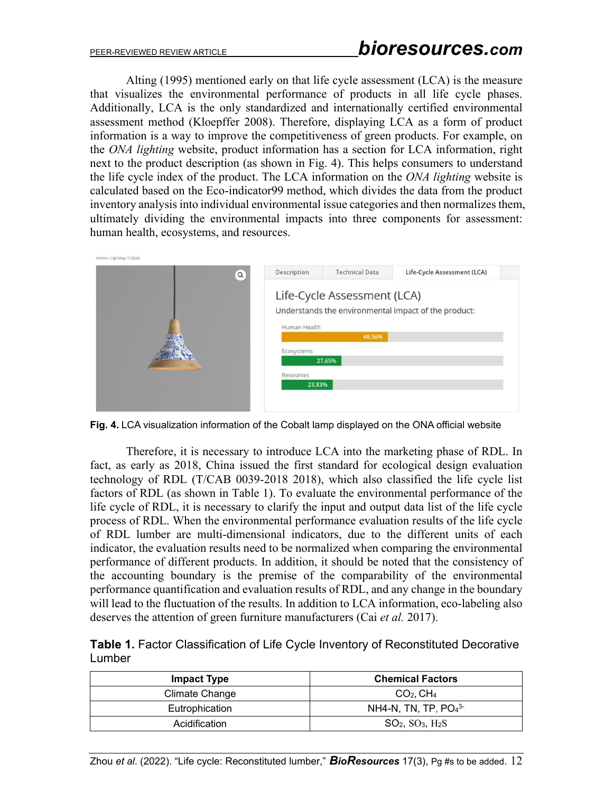Alting (1995) mentioned early on that life cycle assessment (LCA) is the measure that visualizes the environmental performance of products in all life cycle phases. Additionally, LCA is the only standardized and internationally certified environmental assessment method (Kloepffer 2008). Therefore, displaying LCA as a form of product information is a way to improve the competitiveness of green products. For example, on the *ONA lighting* website, product information has a section for LCA information, right next to the product description (as shown in Fig. 4). This helps consumers to understand the life cycle index of the product. The LCA information on the *ONA lighting* website is calculated based on the Eco-indicator99 method, which divides the data from the product inventory analysis into individual environmental issue categories and then normalizes them, ultimately dividing the environmental impacts into three components for assessment: human health, ecosystems, and resources.



**Fig. 4.** LCA visualization information of the Cobalt lamp displayed on the ONA official website

Therefore, it is necessary to introduce LCA into the marketing phase of RDL. In fact, as early as 2018, China issued the first standard for ecological design evaluation technology of RDL (T/CAB 0039-2018 2018), which also classified the life cycle list factors of RDL (as shown in Table 1). To evaluate the environmental performance of the life cycle of RDL, it is necessary to clarify the input and output data list of the life cycle process of RDL. When the environmental performance evaluation results of the life cycle of RDL lumber are multi-dimensional indicators, due to the different units of each indicator, the evaluation results need to be normalized when comparing the environmental performance of different products. In addition, it should be noted that the consistency of the accounting boundary is the premise of the comparability of the environmental performance quantification and evaluation results of RDL, and any change in the boundary will lead to the fluctuation of the results. In addition to LCA information, eco-labeling also deserves the attention of green furniture manufacturers (Cai *et al.* 2017).

| Table 1. Factor Classification of Life Cycle Inventory of Reconstituted Decorative |  |
|------------------------------------------------------------------------------------|--|
| Lumber                                                                             |  |

| <b>Impact Type</b> | <b>Chemical Factors</b> |
|--------------------|-------------------------|
| Climate Change     | $CO2$ , CH <sub>4</sub> |
| Eutrophication     | NH4-N, TN, TP, $PO43$   |
| Acidification      | $SO2$ , $SO3$ , $H2S$   |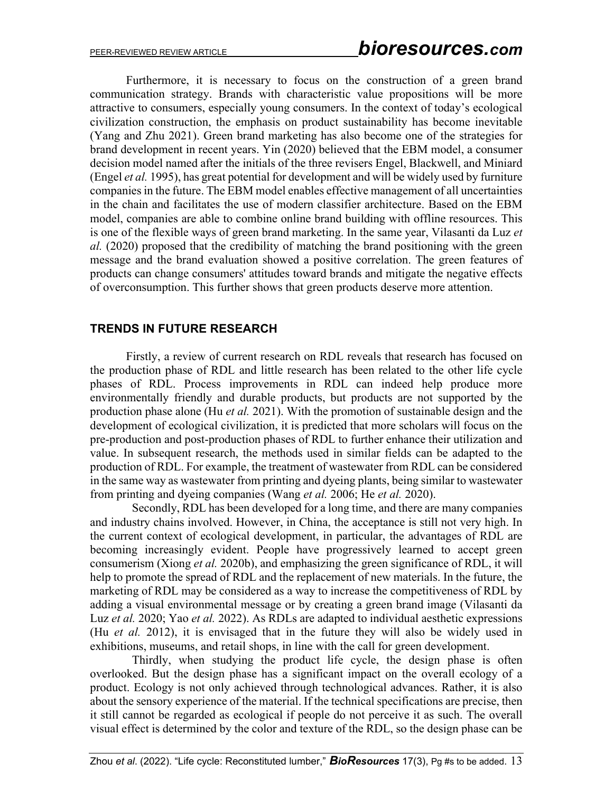Furthermore, it is necessary to focus on the construction of a green brand communication strategy. Brands with characteristic value propositions will be more attractive to consumers, especially young consumers. In the context of today's ecological civilization construction, the emphasis on product sustainability has become inevitable (Yang and Zhu 2021). Green brand marketing has also become one of the strategies for brand development in recent years. Yin (2020) believed that the EBM model, a consumer decision model named after the initials of the three revisers Engel, Blackwell, and Miniard (Engel *et al.* 1995), has great potential for development and will be widely used by furniture companies in the future. The EBM model enables effective management of all uncertainties in the chain and facilitates the use of modern classifier architecture. Based on the EBM model, companies are able to combine online brand building with offline resources. This is one of the flexible ways of green brand marketing. In the same year, Vilasanti da Luz *et al.* (2020) proposed that the credibility of matching the brand positioning with the green message and the brand evaluation showed a positive correlation. The green features of products can change consumers' attitudes toward brands and mitigate the negative effects of overconsumption. This further shows that green products deserve more attention.

## **TRENDS IN FUTURE RESEARCH**

Firstly, a review of current research on RDL reveals that research has focused on the production phase of RDL and little research has been related to the other life cycle phases of RDL. Process improvements in RDL can indeed help produce more environmentally friendly and durable products, but products are not supported by the production phase alone (Hu *et al.* 2021). With the promotion of sustainable design and the development of ecological civilization, it is predicted that more scholars will focus on the pre-production and post-production phases of RDL to further enhance their utilization and value. In subsequent research, the methods used in similar fields can be adapted to the production of RDL. For example, the treatment of wastewater from RDL can be considered in the same way as wastewater from printing and dyeing plants, being similar to wastewater from printing and dyeing companies (Wang *et al.* 2006; He *et al.* 2020).

Secondly, RDL has been developed for a long time, and there are many companies and industry chains involved. However, in China, the acceptance is still not very high. In the current context of ecological development, in particular, the advantages of RDL are becoming increasingly evident. People have progressively learned to accept green consumerism (Xiong *et al.* 2020b), and emphasizing the green significance of RDL, it will help to promote the spread of RDL and the replacement of new materials. In the future, the marketing of RDL may be considered as a way to increase the competitiveness of RDL by adding a visual environmental message or by creating a green brand image (Vilasanti da Luz *et al.* 2020; Yao *et al.* 2022). As RDLs are adapted to individual aesthetic expressions (Hu *et al.* 2012), it is envisaged that in the future they will also be widely used in exhibitions, museums, and retail shops, in line with the call for green development.

Thirdly, when studying the product life cycle, the design phase is often overlooked. But the design phase has a significant impact on the overall ecology of a product. Ecology is not only achieved through technological advances. Rather, it is also about the sensory experience of the material. If the technical specifications are precise, then it still cannot be regarded as ecological if people do not perceive it as such. The overall visual effect is determined by the color and texture of the RDL, so the design phase can be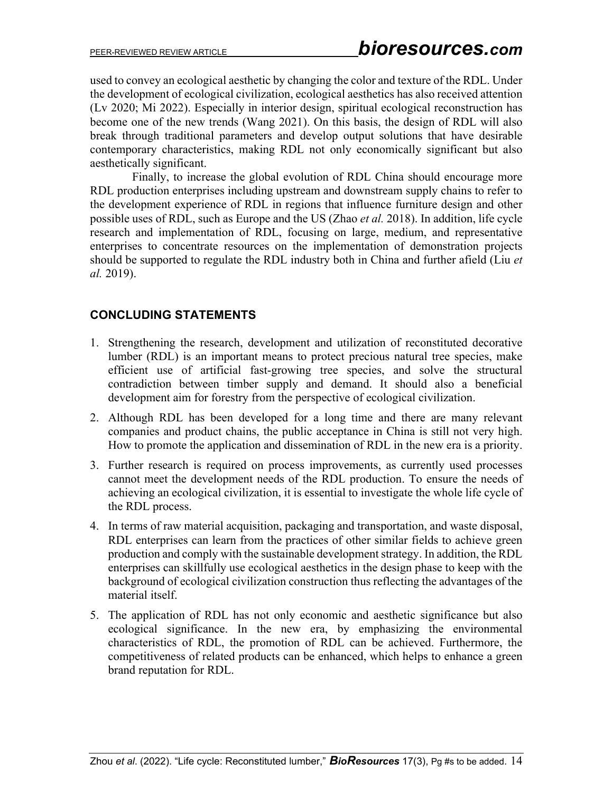used to convey an ecological aesthetic by changing the color and texture of the RDL. Under the development of ecological civilization, ecological aesthetics has also received attention (Lv 2020; Mi 2022). Especially in interior design, spiritual ecological reconstruction has become one of the new trends (Wang 2021). On this basis, the design of RDL will also break through traditional parameters and develop output solutions that have desirable contemporary characteristics, making RDL not only economically significant but also aesthetically significant.

Finally, to increase the global evolution of RDL China should encourage more RDL production enterprises including upstream and downstream supply chains to refer to the development experience of RDL in regions that influence furniture design and other possible uses of RDL, such as Europe and the US (Zhao *et al.* 2018). In addition, life cycle research and implementation of RDL, focusing on large, medium, and representative enterprises to concentrate resources on the implementation of demonstration projects should be supported to regulate the RDL industry both in China and further afield (Liu *et al.* 2019).

# **CONCLUDING STATEMENTS**

- 1. Strengthening the research, development and utilization of reconstituted decorative lumber (RDL) is an important means to protect precious natural tree species, make efficient use of artificial fast-growing tree species, and solve the structural contradiction between timber supply and demand. It should also a beneficial development aim for forestry from the perspective of ecological civilization.
- 2. Although RDL has been developed for a long time and there are many relevant companies and product chains, the public acceptance in China is still not very high. How to promote the application and dissemination of RDL in the new era is a priority.
- 3. Further research is required on process improvements, as currently used processes cannot meet the development needs of the RDL production. To ensure the needs of achieving an ecological civilization, it is essential to investigate the whole life cycle of the RDL process.
- 4. In terms of raw material acquisition, packaging and transportation, and waste disposal, RDL enterprises can learn from the practices of other similar fields to achieve green production and comply with the sustainable development strategy. In addition, the RDL enterprises can skillfully use ecological aesthetics in the design phase to keep with the background of ecological civilization construction thus reflecting the advantages of the material itself.
- 5. The application of RDL has not only economic and aesthetic significance but also ecological significance. In the new era, by emphasizing the environmental characteristics of RDL, the promotion of RDL can be achieved. Furthermore, the competitiveness of related products can be enhanced, which helps to enhance a green brand reputation for RDL.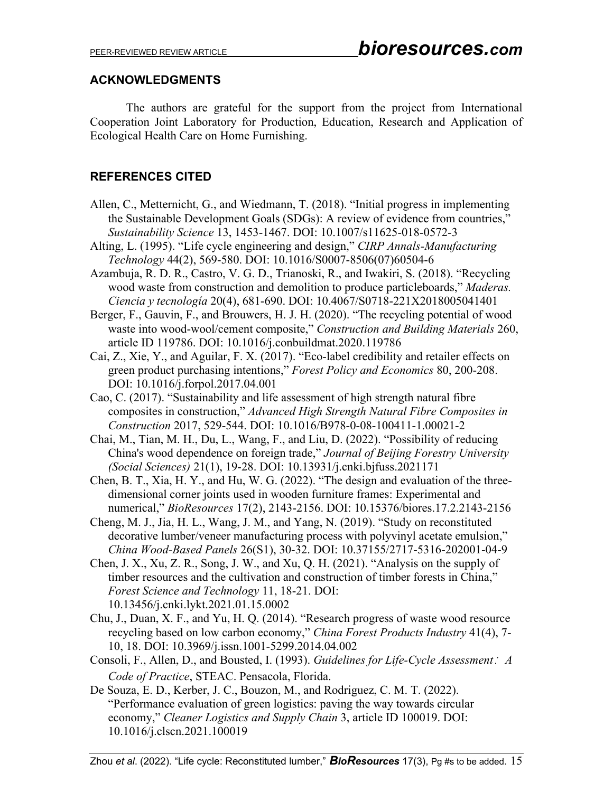## **ACKNOWLEDGMENTS**

The authors are grateful for the support from the project from International Cooperation Joint Laboratory for Production, Education, Research and Application of Ecological Health Care on Home Furnishing.

# **REFERENCES CITED**

- Allen, C., Metternicht, G., and Wiedmann, T. (2018). "Initial progress in implementing the Sustainable Development Goals (SDGs): A review of evidence from countries," *Sustainability Science* 13, 1453-1467. DOI: 10.1007/s11625-018-0572-3
- Alting, L. (1995). "Life cycle engineering and design," *CIRP Annals-Manufacturing Technology* 44(2), 569-580. DOI: 10.1016/S0007-8506(07)60504-6
- Azambuja, R. D. R., Castro, V. G. D., Trianoski, R., and Iwakiri, S. (2018). "Recycling wood waste from construction and demolition to produce particleboards," *Maderas. Ciencia y tecnología* 20(4), 681-690. DOI: 10.4067/S0718-221X2018005041401
- Berger, F., Gauvin, F., and Brouwers, H. J. H. (2020). "The recycling potential of wood waste into wood-wool/cement composite," *Construction and Building Materials* 260, article ID 119786. DOI: 10.1016/j.conbuildmat.2020.119786
- Cai, Z., Xie, Y., and Aguilar, F. X. (2017). "Eco-label credibility and retailer effects on green product purchasing intentions," *Forest Policy and Economics* 80, 200-208. DOI: 10.1016/j.forpol.2017.04.001
- Cao, C. (2017). "Sustainability and life assessment of high strength natural fibre composites in construction," *Advanced High Strength Natural Fibre Composites in Construction* 2017, 529-544. DOI: 10.1016/B978-0-08-100411-1.00021-2
- Chai, M., Tian, M. H., Du, L., Wang, F., and Liu, D. (2022). "Possibility of reducing China's wood dependence on foreign trade," *Journal of Beijing Forestry University (Social Sciences)* 21(1), 19-28. DOI: 10.13931/j.cnki.bjfuss.2021171
- Chen, B. T., Xia, H. Y., and Hu, W. G. (2022). "The design and evaluation of the threedimensional corner joints used in wooden furniture frames: Experimental and numerical," *BioResources* 17(2), 2143-2156. DOI: 10.15376/biores.17.2.2143-2156
- Cheng, M. J., Jia, H. L., Wang, J. M., and Yang, N. (2019). "Study on reconstituted decorative lumber/veneer manufacturing process with polyvinyl acetate emulsion," *China Wood-Based Panels* 26(S1), 30-32. DOI: 10.37155/2717-5316-202001-04-9
- Chen, J. X., Xu, Z. R., Song, J. W., and Xu, Q. H. (2021). "Analysis on the supply of timber resources and the cultivation and construction of timber forests in China," *Forest Science and Technology* 11, 18-21. DOI: 10.13456/j.cnki.lykt.2021.01.15.0002
- Chu, J., Duan, X. F., and Yu, H. Q. (2014). "Research progress of waste wood resource recycling based on low carbon economy," *China Forest Products Industry* 41(4), 7- 10, 18. DOI: 10.3969/j.issn.1001-5299.2014.04.002
- Consoli, F., Allen, D., and Bousted, I. (1993). *Guidelines for Life-Cycle Assessment*:*A Code of Practice*, STEAC. Pensacola, Florida.
- De Souza, E. D., Kerber, J. C., Bouzon, M., and Rodriguez, C. M. T. (2022). "Performance evaluation of green logistics: paving the way towards circular economy," *Cleaner Logistics and Supply Chain* 3, article ID 100019. DOI: 10.1016/j.clscn.2021.100019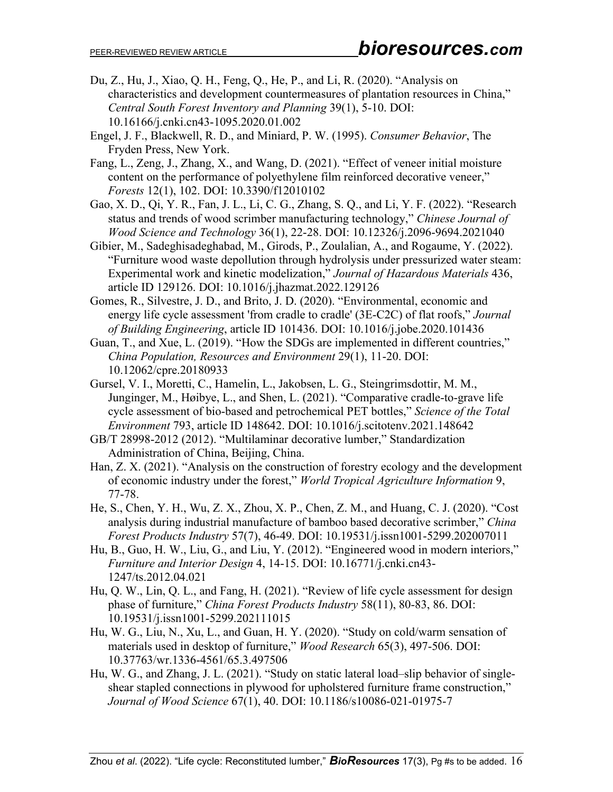- Du, Z., Hu, J., Xiao, Q. H., Feng, Q., He, P., and Li, R. (2020). "Analysis on characteristics and development countermeasures of plantation resources in China," *Central South Forest Inventory and Planning* 39(1), 5-10. DOI: 10.16166/j.cnki.cn43-1095.2020.01.002
- Engel, J. F., Blackwell, R. D., and Miniard, P. W. (1995). *Consumer Behavior*, The Fryden Press, New York.
- Fang, L., Zeng, J., Zhang, X., and Wang, D. (2021). "Effect of veneer initial moisture content on the performance of polyethylene film reinforced decorative veneer," *Forests* 12(1), 102. DOI: 10.3390/f12010102
- Gao, X. D., Qi, Y. R., Fan, J. L., Li, C. G., Zhang, S. Q., and Li, Y. F. (2022). "Research status and trends of wood scrimber manufacturing technology," *Chinese Journal of Wood Science and Technology* 36(1), 22-28. DOI: 10.12326/j.2096-9694.2021040
- Gibier, M., Sadeghisadeghabad, M., Girods, P., Zoulalian, A., and Rogaume, Y. (2022). "Furniture wood waste depollution through hydrolysis under pressurized water steam: Experimental work and kinetic modelization," *Journal of Hazardous Materials* 436, article ID 129126. DOI: 10.1016/j.jhazmat.2022.129126
- Gomes, R., Silvestre, J. D., and Brito, J. D. (2020). "Environmental, economic and energy life cycle assessment 'from cradle to cradle' (3E-C2C) of flat roofs," *Journal of Building Engineering*, article ID 101436. DOI: 10.1016/j.jobe.2020.101436
- Guan, T., and Xue, L. (2019). "How the SDGs are implemented in different countries," *China Population, Resources and Environment* 29(1), 11-20. DOI: 10.12062/cpre.20180933
- Gursel, V. I., Moretti, C., Hamelin, L., Jakobsen, L. G., Steingrimsdottir, M. M., Junginger, M., Høibye, L., and Shen, L. (2021). "Comparative cradle-to-grave life cycle assessment of bio-based and petrochemical PET bottles," *Science of the Total Environment* 793, article ID 148642. DOI: 10.1016/j.scitotenv.2021.148642
- GB/T 28998-2012 (2012). "Multilaminar decorative lumber," Standardization Administration of China, Beijing, China.
- Han, Z. X. (2021). "Analysis on the construction of forestry ecology and the development of economic industry under the forest," *World Tropical Agriculture Information* 9, 77-78.
- He, S., Chen, Y. H., Wu, Z. X., Zhou, X. P., Chen, Z. M., and Huang, C. J. (2020). "Cost analysis during industrial manufacture of bamboo based decorative scrimber," *China Forest Products Industry* 57(7), 46-49. DOI: 10.19531/j.issn1001-5299.202007011
- Hu, B., Guo, H. W., Liu, G., and Liu, Y. (2012). "Engineered wood in modern interiors," *Furniture and Interior Design* 4, 14-15. DOI: 10.16771/j.cnki.cn43- 1247/ts.2012.04.021
- Hu, Q. W., Lin, Q. L., and Fang, H. (2021). "Review of life cycle assessment for design phase of furniture," *China Forest Products Industry* 58(11), 80-83, 86. DOI: 10.19531/j.issn1001-5299.202111015
- Hu, W. G., Liu, N., Xu, L., and Guan, H. Y. (2020). "Study on cold/warm sensation of materials used in desktop of furniture," *Wood Research* 65(3), 497-506. DOI: 10.37763/wr.1336-4561/65.3.497506
- Hu, W. G., and Zhang, J. L. (2021). "Study on static lateral load–slip behavior of singleshear stapled connections in plywood for upholstered furniture frame construction," *Journal of Wood Science* 67(1), 40. DOI: 10.1186/s10086-021-01975-7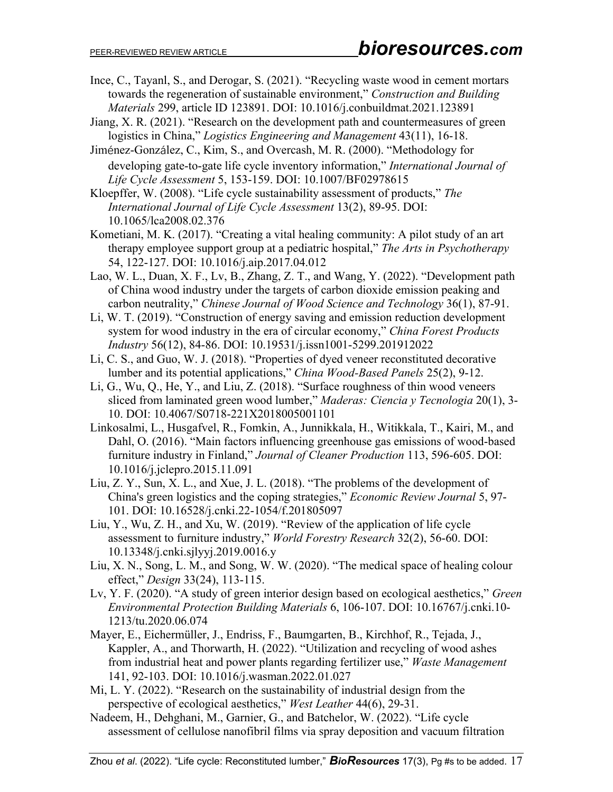- Ince, C., Tayanl, S., and Derogar, S. (2021). "Recycling waste wood in cement mortars towards the regeneration of sustainable environment," *Construction and Building Materials* 299, article ID 123891. DOI: 10.1016/j.conbuildmat.2021.123891
- Jiang, X. R. (2021). "Research on the development path and countermeasures of green logistics in China," *Logistics Engineering and Management* 43(11), 16-18.
- Jiménez-González, C., Kim, S., and Overcash, M. R. (2000). "Methodology for developing gate-to-gate life cycle inventory information," *International Journal of Life Cycle Assessment* 5, 153-159. DOI: 10.1007/BF02978615
- Kloepffer, W. (2008). "Life cycle sustainability assessment of products," *The International Journal of Life Cycle Assessment* 13(2), 89-95. DOI: 10.1065/lca2008.02.376
- Kometiani, M. K. (2017). "Creating a vital healing community: A pilot study of an art therapy employee support group at a pediatric hospital," *The Arts in Psychotherapy* 54, 122-127. DOI: 10.1016/j.aip.2017.04.012
- Lao, W. L., Duan, X. F., Lv, B., Zhang, Z. T., and Wang, Y. (2022). "Development path of China wood industry under the targets of carbon dioxide emission peaking and carbon neutrality," *Chinese Journal of Wood Science and Technology* 36(1), 87-91.
- Li, W. T. (2019). "Construction of energy saving and emission reduction development system for wood industry in the era of circular economy," *China Forest Products Industry* 56(12), 84-86. DOI: 10.19531/j.issn1001-5299.201912022
- Li, C. S., and Guo, W. J. (2018). "Properties of dyed veneer reconstituted decorative lumber and its potential applications," *China Wood-Based Panels* 25(2), 9-12.
- Li, G., Wu, Q., He, Y., and Liu, Z. (2018). "Surface roughness of thin wood veneers sliced from laminated green wood lumber," *Maderas: Ciencia y Tecnologia* 20(1), 3- 10. DOI: 10.4067/S0718-221X2018005001101
- Linkosalmi, L., Husgafvel, R., Fomkin, A., Junnikkala, H., Witikkala, T., Kairi, M., and Dahl, O. (2016). "Main factors influencing greenhouse gas emissions of wood-based furniture industry in Finland," *Journal of Cleaner Production* 113, 596-605. DOI: 10.1016/j.jclepro.2015.11.091
- Liu, Z. Y., Sun, X. L., and Xue, J. L. (2018). "The problems of the development of China's green logistics and the coping strategies," *Economic Review Journal* 5, 97- 101. DOI: 10.16528/j.cnki.22-1054/f.201805097
- Liu, Y., Wu, Z. H., and Xu, W. (2019). "Review of the application of life cycle assessment to furniture industry," *World Forestry Research* 32(2), 56-60. DOI: 10.13348/j.cnki.sjlyyj.2019.0016.y
- Liu, X. N., Song, L. M., and Song, W. W. (2020). "The medical space of healing colour effect," *Design* 33(24), 113-115.
- Lv, Y. F. (2020). "A study of green interior design based on ecological aesthetics," *Green Environmental Protection Building Materials* 6, 106-107. DOI: 10.16767/j.cnki.10- 1213/tu.2020.06.074
- Mayer, E., Eichermüller, J., Endriss, F., Baumgarten, B., Kirchhof, R., Tejada, J., Kappler, A., and Thorwarth, H. (2022). "Utilization and recycling of wood ashes from industrial heat and power plants regarding fertilizer use," *Waste Management* 141, 92-103. DOI: 10.1016/j.wasman.2022.01.027
- Mi, L. Y. (2022). "Research on the sustainability of industrial design from the perspective of ecological aesthetics," *West Leather* 44(6), 29-31.
- Nadeem, H., Dehghani, M., Garnier, G., and Batchelor, W. (2022). "Life cycle assessment of cellulose nanofibril films via spray deposition and vacuum filtration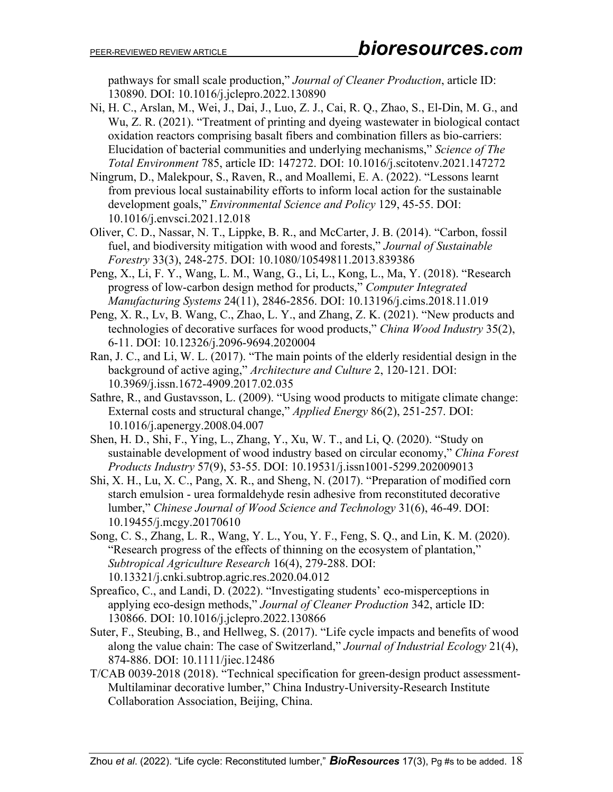pathways for small scale production," *Journal of Cleaner Production*, article ID: 130890. DOI: 10.1016/j.jclepro.2022.130890

- Ni, H. C., Arslan, M., Wei, J., Dai, J., Luo, Z. J., Cai, R. Q., Zhao, S., El-Din, M. G., and Wu, Z. R. (2021). "Treatment of printing and dyeing wastewater in biological contact oxidation reactors comprising basalt fibers and combination fillers as bio-carriers: Elucidation of bacterial communities and underlying mechanisms," *Science of The Total Environment* 785, article ID: 147272. DOI: 10.1016/j.scitotenv.2021.147272
- Ningrum, D., Malekpour, S., Raven, R., and Moallemi, E. A. (2022). "Lessons learnt from previous local sustainability efforts to inform local action for the sustainable development goals," *Environmental Science and Policy* 129, 45-55. DOI: 10.1016/j.envsci.2021.12.018
- Oliver, C. D., Nassar, N. T., Lippke, B. R., and McCarter, J. B. (2014). "Carbon, fossil fuel, and biodiversity mitigation with wood and forests," *Journal of Sustainable Forestry* 33(3), 248-275. DOI: 10.1080/10549811.2013.839386
- Peng, X., Li, F. Y., Wang, L. M., Wang, G., Li, L., Kong, L., Ma, Y. (2018). "Research progress of low-carbon design method for products," *Computer Integrated Manufacturing Systems* 24(11), 2846-2856. DOI: 10.13196/j.cims.2018.11.019
- Peng, X. R., Lv, B. Wang, C., Zhao, L. Y., and Zhang, Z. K. (2021). "New products and technologies of decorative surfaces for wood products," *China Wood Industry* 35(2), 6-11. DOI: 10.12326/j.2096-9694.2020004
- Ran, J. C., and Li, W. L. (2017). "The main points of the elderly residential design in the background of active aging," *Architecture and Culture* 2, 120-121. DOI: 10.3969/j.issn.1672-4909.2017.02.035
- Sathre, R., and Gustavsson, L. (2009). "Using wood products to mitigate climate change: External costs and structural change," *Applied Energy* 86(2), 251-257. DOI: 10.1016/j.apenergy.2008.04.007
- Shen, H. D., Shi, F., Ying, L., Zhang, Y., Xu, W. T., and Li, Q. (2020). "Study on sustainable development of wood industry based on circular economy," *China Forest Products Industry* 57(9), 53-55. DOI: 10.19531/j.issn1001-5299.202009013
- Shi, X. H., Lu, X. C., Pang, X. R., and Sheng, N. (2017). "Preparation of modified corn starch emulsion - urea formaldehyde resin adhesive from reconstituted decorative lumber," *Chinese Journal of Wood Science and Technology* 31(6), 46-49. DOI: 10.19455/j.mcgy.20170610
- Song, C. S., Zhang, L. R., Wang, Y. L., You, Y. F., Feng, S. Q., and Lin, K. M. (2020). "Research progress of the effects of thinning on the ecosystem of plantation," *Subtropical Agriculture Research* 16(4), 279-288. DOI: 10.13321/j.cnki.subtrop.agric.res.2020.04.012
- Spreafico, C., and Landi, D. (2022). "Investigating students' eco-misperceptions in applying eco-design methods," *Journal of Cleaner Production* 342, article ID: 130866. DOI: 10.1016/j.jclepro.2022.130866
- Suter, F., Steubing, B., and Hellweg, S. (2017). "Life cycle impacts and benefits of wood along the value chain: The case of Switzerland," *Journal of Industrial Ecology* 21(4), 874-886. DOI: 10.1111/jiec.12486
- T/CAB 0039-2018 (2018). "Technical specification for green-design product assessment-Multilaminar decorative lumber," China Industry-University-Research Institute Collaboration Association, Beijing, China.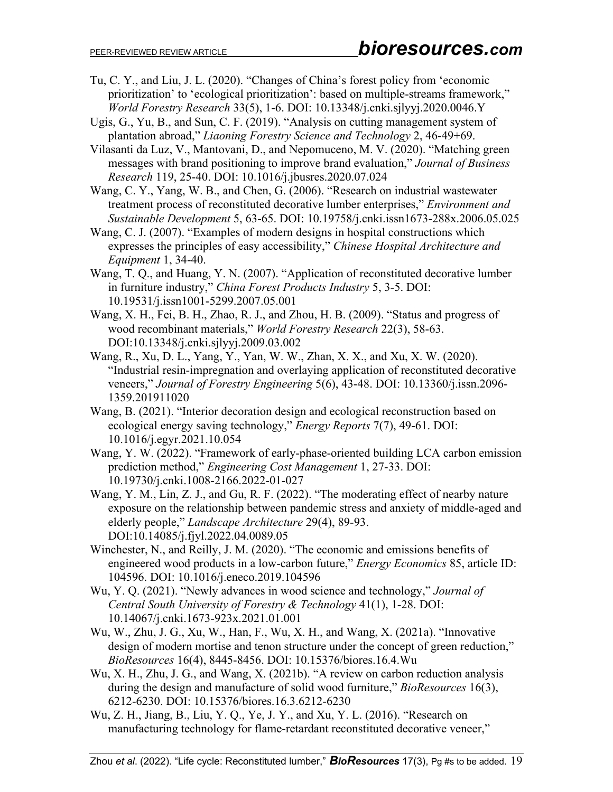- Tu, C. Y., and Liu, J. L. (2020). "Changes of China's forest policy from 'economic prioritization' to 'ecological prioritization': based on multiple-streams framework," *World Forestry Research* 33(5), 1-6. DOI: 10.13348/j.cnki.sjlyyj.2020.0046.Y
- Ugis, G., Yu, B., and Sun, C. F. (2019). "Analysis on cutting management system of plantation abroad," *Liaoning Forestry Science and Technology* 2, 46-49+69.
- Vilasanti da Luz, V., Mantovani, D., and Nepomuceno, M. V. (2020). "Matching green messages with brand positioning to improve brand evaluation," *Journal of Business Research* 119, 25-40. DOI: 10.1016/j.jbusres.2020.07.024
- Wang, C. Y., Yang, W. B., and Chen, G. (2006). "Research on industrial wastewater treatment process of reconstituted decorative lumber enterprises," *Environment and Sustainable Development* 5, 63-65. DOI: 10.19758/j.cnki.issn1673-288x.2006.05.025
- Wang, C. J. (2007). "Examples of modern designs in hospital constructions which expresses the principles of easy accessibility," *Chinese Hospital Architecture and Equipment* 1, 34-40.
- Wang, T. Q., and Huang, Y. N. (2007). "Application of reconstituted decorative lumber in furniture industry," *China Forest Products Industry* 5, 3-5. DOI: 10.19531/j.issn1001-5299.2007.05.001
- Wang, X. H., Fei, B. H., Zhao, R. J., and Zhou, H. B. (2009). "Status and progress of wood recombinant materials," *World Forestry Research* 22(3), 58-63. DOI:10.13348/j.cnki.sjlyyj.2009.03.002
- Wang, R., Xu, D. L., Yang, Y., Yan, W. W., Zhan, X. X., and Xu, X. W. (2020). "Industrial resin-impregnation and overlaying application of reconstituted decorative veneers," *Journal of Forestry Engineering* 5(6), 43-48. DOI: 10.13360/j.issn.2096- 1359.201911020
- Wang, B. (2021). "Interior decoration design and ecological reconstruction based on ecological energy saving technology," *Energy Reports* 7(7), 49-61. DOI: 10.1016/j.egyr.2021.10.054
- Wang, Y. W. (2022). "Framework of early-phase-oriented building LCA carbon emission prediction method," *Engineering Cost Management* 1, 27-33. DOI: 10.19730/j.cnki.1008-2166.2022-01-027
- Wang, Y. M., Lin, Z. J., and Gu, R. F. (2022). "The moderating effect of nearby nature exposure on the relationship between pandemic stress and anxiety of middle-aged and elderly people," *Landscape Architecture* 29(4), 89-93. DOI:10.14085/j.fjyl.2022.04.0089.05
- Winchester, N., and Reilly, J. M. (2020). "The economic and emissions benefits of engineered wood products in a low-carbon future," *Energy Economics* 85, article ID: 104596. DOI: 10.1016/j.eneco.2019.104596
- Wu, Y. Q. (2021). "Newly advances in wood science and technology," *Journal of Central South University of Forestry & Technology* 41(1), 1-28. DOI: 10.14067/j.cnki.1673-923x.2021.01.001
- Wu, W., Zhu, J. G., Xu, W., Han, F., Wu, X. H., and Wang, X. (2021a). "Innovative design of modern mortise and tenon structure under the concept of green reduction," *BioResources* 16(4), 8445-8456. DOI: 10.15376/biores.16.4.Wu
- Wu, X. H., Zhu, J. G., and Wang, X. (2021b). "A review on carbon reduction analysis during the design and manufacture of solid wood furniture," *BioResources* 16(3), 6212-6230. DOI: 10.15376/biores.16.3.6212-6230
- Wu, Z. H., Jiang, B., Liu, Y. Q., Ye, J. Y., and Xu, Y. L. (2016). "Research on manufacturing technology for flame-retardant reconstituted decorative veneer,"

Zhou *et al*. (2022). "Life cycle: Reconstituted lumber," *BioResources* 17(3), Pg #s to be added. 19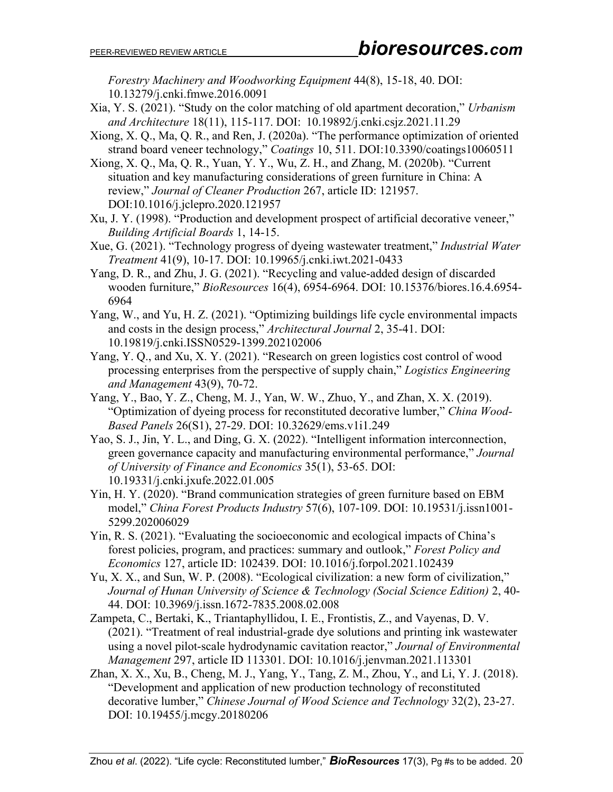*Forestry Machinery and Woodworking Equipment* 44(8), 15-18, 40. DOI: 10.13279/j.cnki.fmwe.2016.0091

- Xia, Y. S. (2021). "Study on the color matching of old apartment decoration," *Urbanism and Architecture* 18(11), 115-117. DOI: 10.19892/j.cnki.csjz.2021.11.29
- Xiong, X. Q., Ma, Q. R., and Ren, J. (2020a). "The performance optimization of oriented strand board veneer technology," *Coatings* 10, 511. DOI:10.3390/coatings10060511
- Xiong, X. Q., Ma, Q. R., Yuan, Y. Y., Wu, Z. H., and Zhang, M. (2020b). "Current situation and key manufacturing considerations of green furniture in China: A review," *Journal of Cleaner Production* 267, article ID: 121957. DOI:10.1016/j.jclepro.2020.121957
- Xu, J. Y. (1998). "Production and development prospect of artificial decorative veneer," *Building Artificial Boards* 1, 14-15.
- Xue, G. (2021). "Technology progress of dyeing wastewater treatment," *Industrial Water Treatment* 41(9), 10-17. DOI: 10.19965/j.cnki.iwt.2021-0433
- Yang, D. R., and Zhu, J. G. (2021). "Recycling and value-added design of discarded wooden furniture," *BioResources* 16(4), 6954-6964. DOI: 10.15376/biores.16.4.6954- 6964
- Yang, W., and Yu, H. Z. (2021). "Optimizing buildings life cycle environmental impacts and costs in the design process," *Architectural Journal* 2, 35-41. DOI: 10.19819/j.cnki.ISSN0529-1399.202102006
- Yang, Y. Q., and Xu, X. Y. (2021). "Research on green logistics cost control of wood processing enterprises from the perspective of supply chain," *Logistics Engineering and Management* 43(9), 70-72.
- Yang, Y., Bao, Y. Z., Cheng, M. J., Yan, W. W., Zhuo, Y., and Zhan, X. X. (2019). "Optimization of dyeing process for reconstituted decorative lumber," *China Wood-Based Panels* 26(S1), 27-29. DOI: [10.32629/ems.v1i1.249](https://doi.org/10.32629/ems.v1i1.249)
- Yao, S. J., Jin, Y. L., and Ding, G. X. (2022). "Intelligent information interconnection, green governance capacity and manufacturing environmental performance," *Journal of University of Finance and Economics* 35(1), 53-65. DOI: 10.19331/j.cnki.jxufe.2022.01.005
- Yin, H. Y. (2020). "Brand communication strategies of green furniture based on EBM model," *China Forest Products Industry* 57(6), 107-109. DOI: 10.19531/j.issn1001- 5299.202006029
- Yin, R. S. (2021). "Evaluating the socioeconomic and ecological impacts of China's forest policies, program, and practices: summary and outlook," *Forest Policy and Economics* 127, article ID: 102439. DOI: 10.1016/j.forpol.2021.102439
- Yu, X. X., and Sun, W. P. (2008). "Ecological civilization: a new form of civilization," *Journal of Hunan University of Science & Technology (Social Science Edition)* 2, 40- 44. DOI: 10.3969/j.issn.1672-7835.2008.02.008
- Zampeta, C., Bertaki, K., Triantaphyllidou, I. E., Frontistis, Z., and Vayenas, D. V. (2021). "Treatment of real industrial-grade dye solutions and printing ink wastewater using a novel pilot-scale hydrodynamic cavitation reactor," *Journal of Environmental Management* 297, article ID 113301. DOI: 10.1016/j.jenvman.2021.113301
- Zhan, X. X., Xu, B., Cheng, M. J., Yang, Y., Tang, Z. M., Zhou, Y., and Li, Y. J. (2018). "Development and application of new production technology of reconstituted decorative lumber," *Chinese Journal of Wood Science and Technology* 32(2), 23-27. DOI: 10.19455/j.mcgy.20180206